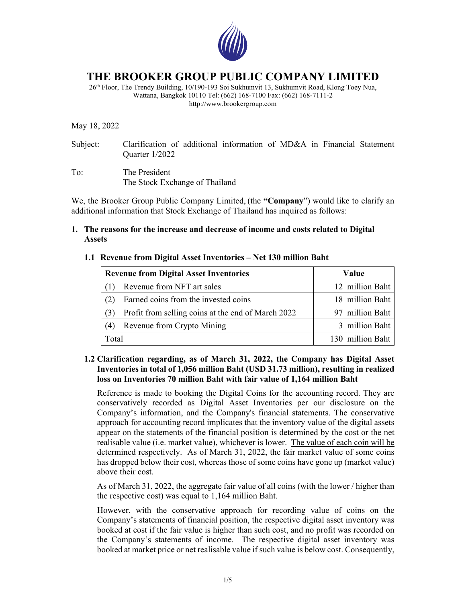

# **THE BROOKER GROUP PUBLIC COMPANY LIMITED**

26th Floor, The Trendy Building, 10/190-193 Soi Sukhumvit 13, Sukhumvit Road, Klong Toey Nua, Wattana, Bangkok 10110 Tel: (662) 168-7100 Fax: (662) 168-7111-2 http://www.brookergroup.com

May 18, 2022

- Subject: Clarification of additional information of MD&A in Financial Statement Quarter 1/2022
- To: The President The Stock Exchange of Thailand

We, the Brooker Group Public Company Limited, (the **"Company**") would like to clarify an additional information that Stock Exchange of Thailand has inquired as follows:

### **1. The reasons for the increase and decrease of income and costs related to Digital Assets**

### **1.1 Revenue from Digital Asset Inventories – Net 130 million Baht**

| <b>Revenue from Digital Asset Inventories</b> |                                                    | Value            |
|-----------------------------------------------|----------------------------------------------------|------------------|
|                                               | Revenue from NFT art sales                         | 12 million Baht  |
| (2)                                           | Earned coins from the invested coins               | 18 million Baht  |
| (3)                                           | Profit from selling coins at the end of March 2022 | 97 million Baht  |
| (4)                                           | Revenue from Crypto Mining                         | 3 million Baht   |
| Total                                         |                                                    | 130 million Baht |

## **1.2 Clarification regarding, as of March 31, 2022, the Company has Digital Asset Inventories in total of 1,056 million Baht (USD 31.73 million), resulting in realized loss on Inventories 70 million Baht with fair value of 1,164 million Baht**

Reference is made to booking the Digital Coins for the accounting record. They are conservatively recorded as Digital Asset Inventories per our disclosure on the Company's information, and the Company's financial statements. The conservative approach for accounting record implicates that the inventory value of the digital assets appear on the statements of the financial position is determined by the cost or the net realisable value (i.e. market value), whichever is lower. The value of each coin will be determined respectively. As of March 31, 2022, the fair market value of some coins has dropped below their cost, whereas those of some coins have gone up (market value) above their cost.

As of March 31, 2022, the aggregate fair value of all coins (with the lower / higher than the respective cost) was equal to 1,164 million Baht.

However, with the conservative approach for recording value of coins on the Company's statements of financial position, the respective digital asset inventory was booked at cost if the fair value is higher than such cost, and no profit was recorded on the Company's statements of income. The respective digital asset inventory was booked at market price or net realisable value if such value is below cost. Consequently,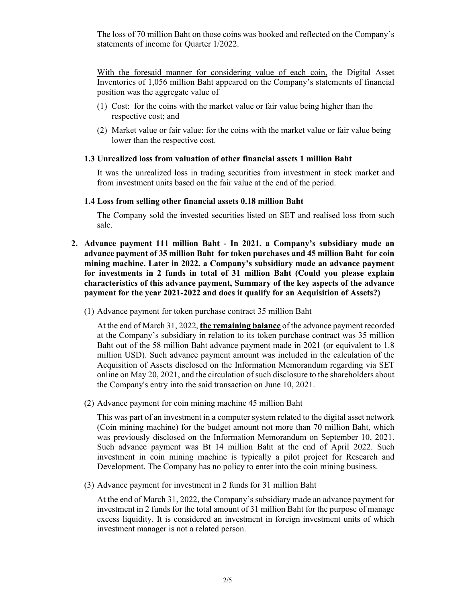The loss of 70 million Baht on those coins was booked and reflected on the Company's statements of income for Quarter 1/2022.

With the foresaid manner for considering value of each coin, the Digital Asset Inventories of 1,056 million Baht appeared on the Company's statements of financial position was the aggregate value of

- (1) Cost: for the coins with the market value or fair value being higher than the respective cost; and
- (2) Market value or fair value: for the coins with the market value or fair value being lower than the respective cost.

#### **1.3 Unrealized loss from valuation of other financial assets 1 million Baht**

It was the unrealized loss in trading securities from investment in stock market and from investment units based on the fair value at the end of the period.

#### **1.4 Loss from selling other financial assets 0.18 million Baht**

The Company sold the invested securities listed on SET and realised loss from such sale.

- **2. Advance payment 111 million Baht In 2021, a Company's subsidiary made an advance payment of 35 million Baht for token purchases and 45 million Baht for coin mining machine. Later in 2022, a Company's subsidiary made an advance payment for investments in 2 funds in total of 31 million Baht (Could you please explain characteristics of this advance payment, Summary of the key aspects of the advance payment for the year 2021-2022 and does it qualify for an Acquisition of Assets?)** 
	- (1) Advance payment for token purchase contract 35 million Baht

At the end of March 31, 2022, **the remaining balance** of the advance payment recorded at the Company's subsidiary in relation to its token purchase contract was 35 million Baht out of the 58 million Baht advance payment made in 2021 (or equivalent to 1.8 million USD). Such advance payment amount was included in the calculation of the Acquisition of Assets disclosed on the Information Memorandum regarding via SET online on May 20, 2021, and the circulation of such disclosure to the shareholders about the Company's entry into the said transaction on June 10, 2021.

(2) Advance payment for coin mining machine 45 million Baht

This was part of an investment in a computer system related to the digital asset network (Coin mining machine) for the budget amount not more than 70 million Baht, which was previously disclosed on the Information Memorandum on September 10, 2021. Such advance payment was Bt 14 million Baht at the end of April 2022. Such investment in coin mining machine is typically a pilot project for Research and Development. The Company has no policy to enter into the coin mining business.

(3) Advance payment for investment in 2 funds for 31 million Baht

At the end of March 31, 2022, the Company's subsidiary made an advance payment for investment in 2 funds for the total amount of 31 million Baht for the purpose of manage excess liquidity. It is considered an investment in foreign investment units of which investment manager is not a related person.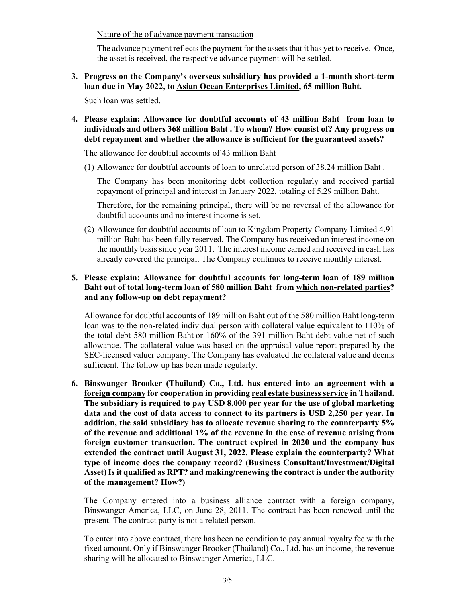Nature of the of advance payment transaction

The advance payment reflects the payment for the assets that it has yet to receive. Once, the asset is received, the respective advance payment will be settled.

**3. Progress on the Company's overseas subsidiary has provided a 1-month short-term loan due in May 2022, to Asian Ocean Enterprises Limited, 65 million Baht.** 

Such loan was settled.

**4. Please explain: Allowance for doubtful accounts of 43 million Baht from loan to individuals and others 368 million Baht . To whom? How consist of? Any progress on debt repayment and whether the allowance is sufficient for the guaranteed assets?** 

The allowance for doubtful accounts of 43 million Baht

(1) Allowance for doubtful accounts of loan to unrelated person of 38.24 million Baht .

The Company has been monitoring debt collection regularly and received partial repayment of principal and interest in January 2022, totaling of 5.29 million Baht.

Therefore, for the remaining principal, there will be no reversal of the allowance for doubtful accounts and no interest income is set.

(2) Allowance for doubtful accounts of loan to Kingdom Property Company Limited 4.91 million Baht has been fully reserved. The Company has received an interest income on the monthly basis since year 2011. The interest income earned and received in cash has already covered the principal. The Company continues to receive monthly interest.

## **5. Please explain: Allowance for doubtful accounts for long-term loan of 189 million Baht out of total long-term loan of 580 million Baht from which non-related parties? and any follow-up on debt repayment?**

Allowance for doubtful accounts of 189 million Baht out of the 580 million Baht long-term loan was to the non-related individual person with collateral value equivalent to 110% of the total debt 580 million Baht or 160% of the 391 million Baht debt value net of such allowance. The collateral value was based on the appraisal value report prepared by the SEC-licensed valuer company. The Company has evaluated the collateral value and deems sufficient. The follow up has been made regularly.

**6. Binswanger Brooker (Thailand) Co., Ltd. has entered into an agreement with a foreign company for cooperation in providing real estate business service in Thailand. The subsidiary is required to pay USD 8,000 per year for the use of global marketing data and the cost of data access to connect to its partners is USD 2,250 per year. In addition, the said subsidiary has to allocate revenue sharing to the counterparty 5% of the revenue and additional 1% of the revenue in the case of revenue arising from foreign customer transaction. The contract expired in 2020 and the company has extended the contract until August 31, 2022. Please explain the counterparty? What type of income does the company record? (Business Consultant/Investment/Digital Asset) Is it qualified as RPT? and making/renewing the contract is under the authority of the management? How?)** 

The Company entered into a business alliance contract with a foreign company, Binswanger America, LLC, on June 28, 2011. The contract has been renewed until the present. The contract party is not a related person.

To enter into above contract, there has been no condition to pay annual royalty fee with the fixed amount. Only if Binswanger Brooker (Thailand) Co., Ltd. has an income, the revenue sharing will be allocated to Binswanger America, LLC.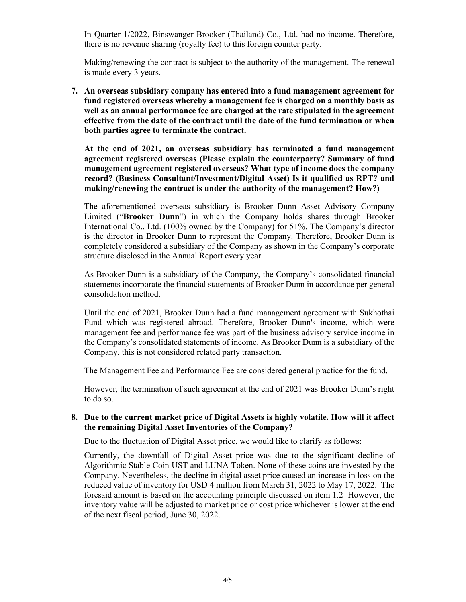In Quarter 1/2022, Binswanger Brooker (Thailand) Co., Ltd. had no income. Therefore, there is no revenue sharing (royalty fee) to this foreign counter party.

Making/renewing the contract is subject to the authority of the management. The renewal is made every 3 years.

**7. An overseas subsidiary company has entered into a fund management agreement for fund registered overseas whereby a management fee is charged on a monthly basis as well as an annual performance fee are charged at the rate stipulated in the agreement effective from the date of the contract until the date of the fund termination or when both parties agree to terminate the contract.** 

**At the end of 2021, an overseas subsidiary has terminated a fund management agreement registered overseas (Please explain the counterparty? Summary of fund management agreement registered overseas? What type of income does the company record? (Business Consultant/Investment/Digital Asset) Is it qualified as RPT? and making/renewing the contract is under the authority of the management? How?)** 

The aforementioned overseas subsidiary is Brooker Dunn Asset Advisory Company Limited ("**Brooker Dunn**") in which the Company holds shares through Brooker International Co., Ltd. (100% owned by the Company) for 51%. The Company's director is the director in Brooker Dunn to represent the Company. Therefore, Brooker Dunn is completely considered a subsidiary of the Company as shown in the Company's corporate structure disclosed in the Annual Report every year.

As Brooker Dunn is a subsidiary of the Company, the Company's consolidated financial statements incorporate the financial statements of Brooker Dunn in accordance per general consolidation method.

Until the end of 2021, Brooker Dunn had a fund management agreement with Sukhothai Fund which was registered abroad. Therefore, Brooker Dunn's income, which were management fee and performance fee was part of the business advisory service income in the Company's consolidated statements of income. As Brooker Dunn is a subsidiary of the Company, this is not considered related party transaction.

The Management Fee and Performance Fee are considered general practice for the fund.

However, the termination of such agreement at the end of 2021 was Brooker Dunn's right to do so.

## **8. Due to the current market price of Digital Assets is highly volatile. How will it affect the remaining Digital Asset Inventories of the Company?**

Due to the fluctuation of Digital Asset price, we would like to clarify as follows:

Currently, the downfall of Digital Asset price was due to the significant decline of Algorithmic Stable Coin UST and LUNA Token. None of these coins are invested by the Company. Nevertheless, the decline in digital asset price caused an increase in loss on the reduced value of inventory for USD 4 million from March 31, 2022 to May 17, 2022. The foresaid amount is based on the accounting principle discussed on item 1.2 However, the inventory value will be adjusted to market price or cost price whichever is lower at the end of the next fiscal period, June 30, 2022.